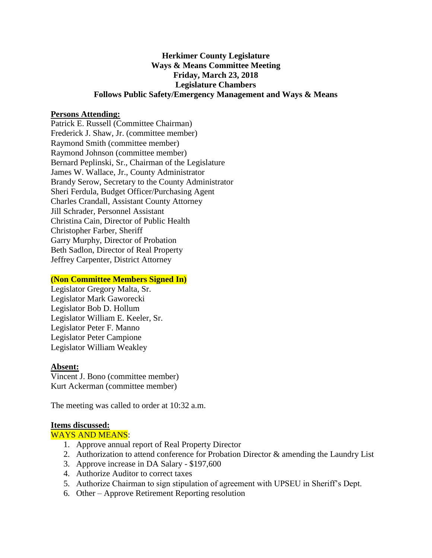# **Herkimer County Legislature Ways & Means Committee Meeting Friday, March 23, 2018 Legislature Chambers Follows Public Safety/Emergency Management and Ways & Means**

### **Persons Attending:**

Patrick E. Russell (Committee Chairman) Frederick J. Shaw, Jr. (committee member) Raymond Smith (committee member) Raymond Johnson (committee member) Bernard Peplinski, Sr., Chairman of the Legislature James W. Wallace, Jr., County Administrator Brandy Serow, Secretary to the County Administrator Sheri Ferdula, Budget Officer/Purchasing Agent Charles Crandall, Assistant County Attorney Jill Schrader, Personnel Assistant Christina Cain, Director of Public Health Christopher Farber, Sheriff Garry Murphy, Director of Probation Beth Sadlon, Director of Real Property Jeffrey Carpenter, District Attorney

#### **(Non Committee Members Signed In)**

Legislator Gregory Malta, Sr. Legislator Mark Gaworecki Legislator Bob D. Hollum Legislator William E. Keeler, Sr. Legislator Peter F. Manno Legislator Peter Campione Legislator William Weakley

#### **Absent:**

Vincent J. Bono (committee member) Kurt Ackerman (committee member)

The meeting was called to order at 10:32 a.m.

#### **Items discussed:**

#### WAYS AND MEANS:

- 1. Approve annual report of Real Property Director
- 2. Authorization to attend conference for Probation Director & amending the Laundry List
- 3. Approve increase in DA Salary \$197,600
- 4. Authorize Auditor to correct taxes
- 5. Authorize Chairman to sign stipulation of agreement with UPSEU in Sheriff's Dept.
- 6. Other Approve Retirement Reporting resolution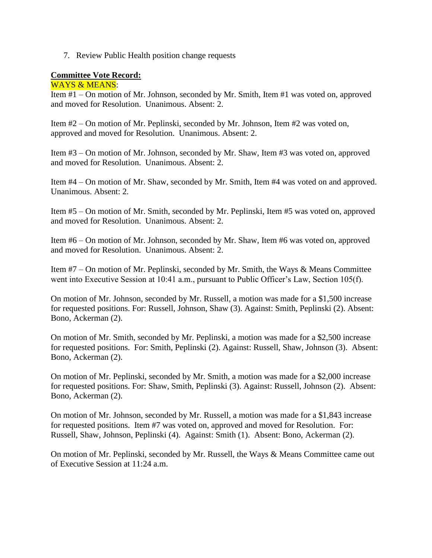7. Review Public Health position change requests

## **Committee Vote Record:**

WAYS & MEANS:

Item #1 – On motion of Mr. Johnson, seconded by Mr. Smith, Item #1 was voted on, approved and moved for Resolution. Unanimous. Absent: 2.

Item #2 – On motion of Mr. Peplinski, seconded by Mr. Johnson, Item #2 was voted on, approved and moved for Resolution. Unanimous. Absent: 2.

Item #3 – On motion of Mr. Johnson, seconded by Mr. Shaw, Item #3 was voted on, approved and moved for Resolution. Unanimous. Absent: 2.

Item #4 – On motion of Mr. Shaw, seconded by Mr. Smith, Item #4 was voted on and approved. Unanimous. Absent: 2.

Item #5 – On motion of Mr. Smith, seconded by Mr. Peplinski, Item #5 was voted on, approved and moved for Resolution. Unanimous. Absent: 2.

Item #6 – On motion of Mr. Johnson, seconded by Mr. Shaw, Item #6 was voted on, approved and moved for Resolution. Unanimous. Absent: 2.

Item #7 – On motion of Mr. Peplinski, seconded by Mr. Smith, the Ways & Means Committee went into Executive Session at 10:41 a.m., pursuant to Public Officer's Law, Section 105(f).

On motion of Mr. Johnson, seconded by Mr. Russell, a motion was made for a \$1,500 increase for requested positions. For: Russell, Johnson, Shaw (3). Against: Smith, Peplinski (2). Absent: Bono, Ackerman (2).

On motion of Mr. Smith, seconded by Mr. Peplinski, a motion was made for a \$2,500 increase for requested positions. For: Smith, Peplinski (2). Against: Russell, Shaw, Johnson (3). Absent: Bono, Ackerman (2).

On motion of Mr. Peplinski, seconded by Mr. Smith, a motion was made for a \$2,000 increase for requested positions. For: Shaw, Smith, Peplinski (3). Against: Russell, Johnson (2). Absent: Bono, Ackerman (2).

On motion of Mr. Johnson, seconded by Mr. Russell, a motion was made for a \$1,843 increase for requested positions. Item #7 was voted on, approved and moved for Resolution. For: Russell, Shaw, Johnson, Peplinski (4). Against: Smith (1). Absent: Bono, Ackerman (2).

On motion of Mr. Peplinski, seconded by Mr. Russell, the Ways & Means Committee came out of Executive Session at 11:24 a.m.